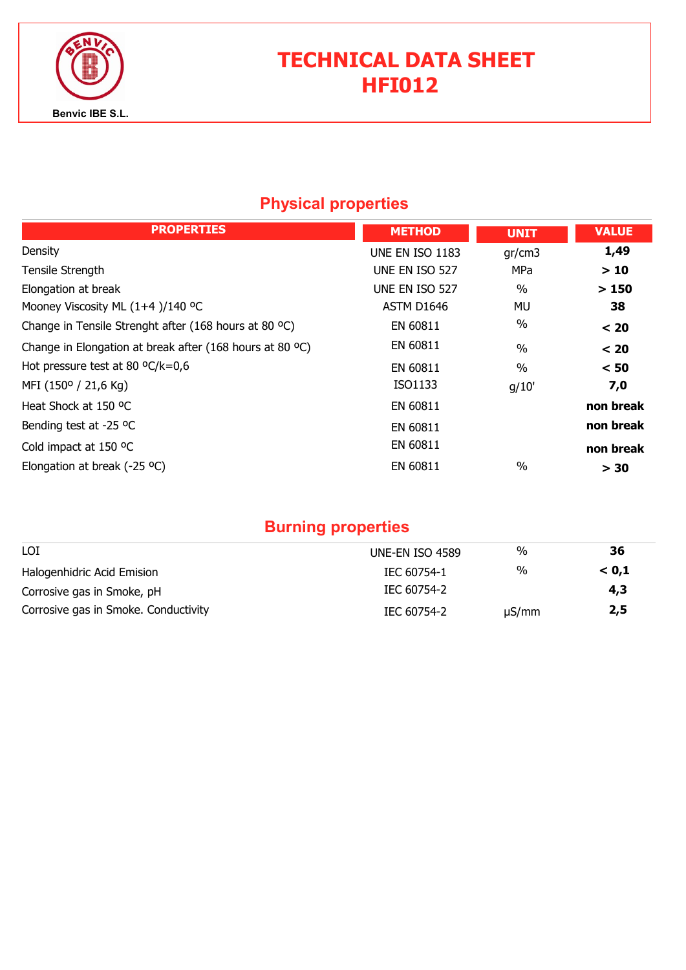

# TECHNICAL DATA SHEET HFI012

## Physical properties

| <b>PROPERTIES</b>                                        | <b>METHOD</b>          | <b>UNIT</b>   | <b>VALUE</b> |
|----------------------------------------------------------|------------------------|---------------|--------------|
| Density                                                  | <b>UNE EN ISO 1183</b> | gr/cm3        | 1,49         |
| Tensile Strength                                         | UNE EN ISO 527         | <b>MPa</b>    | >10          |
| Elongation at break                                      | UNE EN ISO 527         | $\frac{0}{0}$ | >150         |
| Mooney Viscosity ML (1+4)/140 °C                         | ASTM D1646             | MU            | 38           |
| Change in Tensile Strenght after (168 hours at 80 °C)    | EN 60811               | $\%$          | < 20         |
| Change in Elongation at break after (168 hours at 80 °C) | EN 60811               | $\frac{0}{0}$ | < 20         |
| Hot pressure test at 80 $\textdegree C/k = 0.6$          | EN 60811               | $\frac{0}{0}$ | < 50         |
| MFI (150° / 21,6 Kg)                                     | ISO1133                | g/10'         | 7,0          |
| Heat Shock at 150 °C                                     | EN 60811               |               | non break    |
| Bending test at -25 °C                                   | EN 60811               |               | non break    |
| Cold impact at 150 °C                                    | EN 60811               |               | non break    |
| Elongation at break (-25 $^{\circ}$ C)                   | EN 60811               | $\%$          | > 30         |

## Burning properties

| LOI                                  | UNE-EN ISO 4589 | %          | 36    |
|--------------------------------------|-----------------|------------|-------|
| Halogenhidric Acid Emision           | IEC 60754-1     | %          | < 0.1 |
| Corrosive gas in Smoke, pH           | IEC 60754-2     |            | 4,3   |
| Corrosive gas in Smoke. Conductivity | IEC 60754-2     | $\mu S/mm$ | 2,5   |